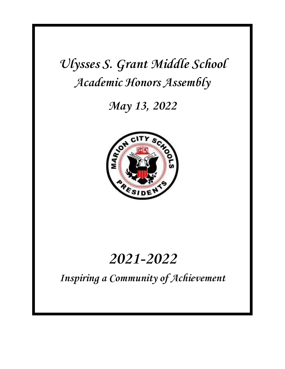**Ulysses S. Grant Middle School Academic Honors Assembly**

**May 13, 2022**



# **2021-2022**

**Inspiring a Community of Achievement**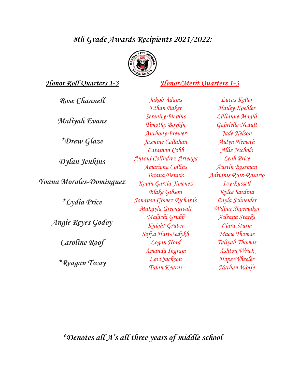# **8th Grade Awards Recipients 2021/2022:**



### **Honor Roll Quarters 1-3 Honor/Merit Quarters 1-3**

| Rose Channell                                                | Jakob Adams              |
|--------------------------------------------------------------|--------------------------|
|                                                              | Ethan Baker              |
| Maliyah Evans                                                | <b>Serenity Blevins</b>  |
|                                                              | Timothy Boykin           |
| *Drew Glaze                                                  | <b>Anthony Brewer</b>    |
|                                                              | Jasmine Callahan         |
|                                                              | Latavion Cobb            |
| Dylan Jenkins                                                | Antoni Colindrez Arteaga |
|                                                              | Amariona Collins         |
| Yoana Morales-Dominguez<br><i><u><b>*Lydia Price</b></u></i> | <b>Briana Dennis</b>     |
|                                                              | Kevin Garcia-Jimenez     |
|                                                              | <b>Blake Gibson</b>      |
|                                                              | Jonaven Gomez Richards   |
|                                                              | Makayla Greenawalt       |
| Angie Reyes Godoy<br>Caroline Roof                           | Malachi Grubb            |
|                                                              | Knight Gruber            |
|                                                              | Sofya Hart-Sedykh        |
|                                                              | Logan Hord               |
|                                                              | Amanda Ingram            |
| *Reagan Tway                                                 | Levi Jackson             |
|                                                              | Talan Kearns             |

Lucas Keller Hailey Koehler Lillianne Magill Gabrielle Neault Jade Nelson Aidyn Nemeth Allie Nichols Leah Price Austin Rossman Adrianis Ruiz-Rosario Ivy Russell Kylee Sardina Layla Schneider Wilbur Shoemaker Aileana Starks Ciara Sturm Macie Thomas Taliyah Thomas Ashton Wrick Hope Wheeler Nathan Wolfe

**\*Denotes all A' s all three years of middle school**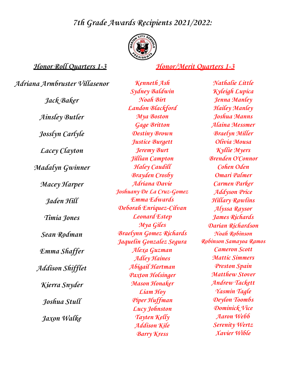## **7th Grade Awards Recipients 2021/2022:**



#### **Honor Roll Quarters 1-3 Honor/Merit Quarters 1-3**

**Adriana Armbruster Villasenor Jack Baker Ainsley Butler Josslyn Carlyle Lacey Clayton Madalyn Gwinner Macey Harper Jaden Hill Timia Jones Sean Rodman** *Emma Shaffer* **Addison Shif let Kierra Snyder Joshua Stull Jaxon Walke**

**Kenneth Ash Sydney Baldwin Noah Birt Landon Blackford Mya Boston Gage Britton Destiny Brown Justice Burgett Jeremy Burt Jillian Campton Haley Caudill Brayden Crosby Adriana Davie Joshuany De La Cruz-Gomez Emma Edwards Deborah Enriquez-Cilvan Leonard Estep Mya Giles Braelynn Gomez Richards Jaquelin Gonzalez Segura Alexa Guzman Adley Haines Abigail Hartman Paxton Holsinger Mason Honaker Liam Hoy Piper Huffman Lucy Johnston Tayten Kelly Addison Kile Barry Kress**

**Nathalie Little Kyleigh Lupica Jenna Manley Hailey Manley Joshua Manns Alaina Messmer Braelyn Miller Olivia Mousa Kyllie Myers Brenden O'Connor Cohen Oden Omari Palmer Carmen Parker Addyson Price Hillary Rawlins Alyssa Raysor James Richards Darian Richardson Noah Robinson Robinson Samayoa Ramos Cameron Scott Mattic Simmers Preston Spain Matthew Stover Andrew Tackett Yasmin Tagle Deylon Toombs Dominick Vice Aaron Webb Serenity Wertz Xavier Wible**